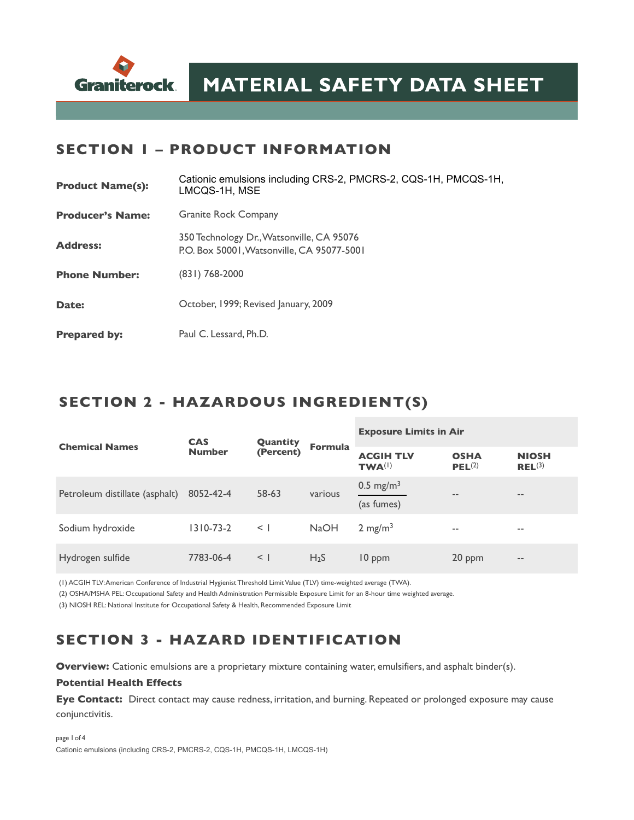

#### **SECTION 1 – PRODUCT INFORMATION**

| <b>Product Name(s):</b> | Cationic emulsions including CRS-2, PMCRS-2, CQS-1H, PMCQS-1H,<br>LMCQS-1H, MSE         |  |  |  |
|-------------------------|-----------------------------------------------------------------------------------------|--|--|--|
| <b>Producer's Name:</b> | <b>Granite Rock Company</b>                                                             |  |  |  |
| <b>Address:</b>         | 350 Technology Dr., Watsonville, CA 95076<br>P.O. Box 50001. Watsonville, CA 95077-5001 |  |  |  |
| <b>Phone Number:</b>    | (831) 768-2000                                                                          |  |  |  |
| Date:                   | October, 1999; Revised January, 2009                                                    |  |  |  |
| <b>Prepared by:</b>     | Paul C. Lessard, Ph.D.                                                                  |  |  |  |

#### **SECTION 2 - HAZARDOUS INGREDIENT(S)**

| <b>Chemical Names</b>          | <b>CAS</b><br><b>Number</b> | Quantity<br>(Percent) | <b>Formula</b>   | <b>Exposure Limits in Air</b>       |                                   |                             |
|--------------------------------|-----------------------------|-----------------------|------------------|-------------------------------------|-----------------------------------|-----------------------------|
|                                |                             |                       |                  | <b>ACGIH TLV</b><br>$TWA^{(1)}$     | <b>OSHA</b><br>PEL <sup>(2)</sup> | <b>NIOSH</b><br>$REL^{(3)}$ |
| Petroleum distillate (asphalt) | 8052-42-4                   | 58-63                 | various          | 0.5 mg/m <sup>3</sup><br>(as fumes) | --                                | $\qquad \qquad -$           |
| Sodium hydroxide               | $1310 - 73 - 2$             | $\leq$                | <b>NaOH</b>      | $2 \text{ mg/m}^3$                  | $- -$                             | $\overline{\phantom{m}}$    |
| Hydrogen sulfide               | 7783-06-4                   | $\leq$                | H <sub>2</sub> S | 10 ppm                              | 20 ppm                            | $\qquad \qquad -$           |

(1) ACGIH TLV: American Conference of Industrial Hygienist Threshold Limit Value (TLV) time-weighted average (TWA). (2) OSHA/MSHA PEL: Occupational Safety and Health Administration Permissible Exposure Limit for an 8-hour time weighted average.

(3) NIOSH REL: National Institute for Occupational Safety & Health, Recommended Exposure Limit

# **SECTION 3 - HAZARD IDENTIFICATION**

**Overview:** Cationic emulsions are a proprietary mixture containing water, emulsifiers, and asphalt binder(s).

#### **Potential Health Effects**

**Eye Contact:** Direct contact may cause redness, irritation, and burning. Repeated or prolonged exposure may cause conjunctivitis.

page 1of 4 Cationic emulsions (including CRS-2, PMCRS-2, CQS-1H, PMCQS-1H, LMCQS-1H)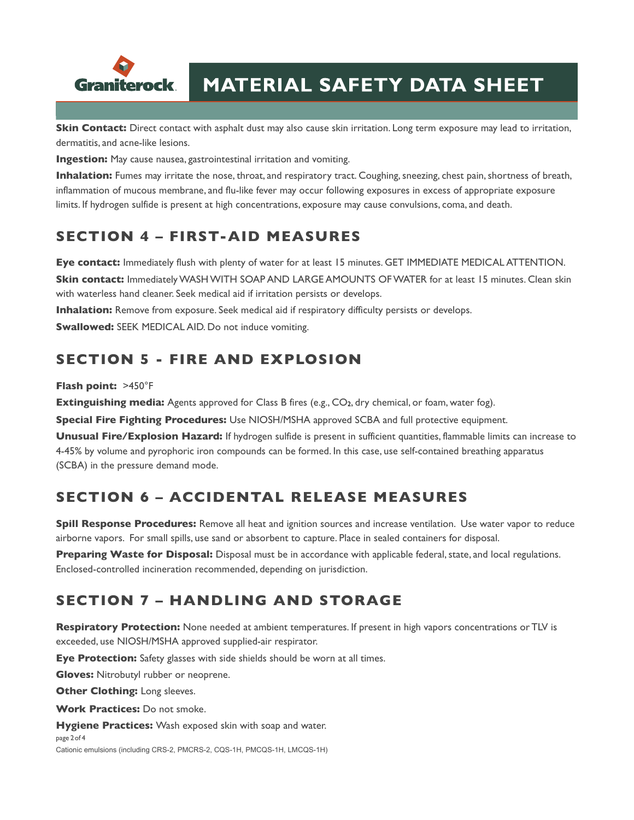

**Skin Contact:** Direct contact with asphalt dust may also cause skin irritation. Long term exposure may lead to irritation, dermatitis, and acne-like lesions.

**Ingestion:** May cause nausea, gastrointestinal irritation and vomiting.

**Inhalation:** Fumes may irritate the nose, throat, and respiratory tract. Coughing, sneezing, chest pain, shortness of breath, inflammation of mucous membrane, and flu-like fever may occur following exposures in excess of appropriate exposure limits. If hydrogen sulfide is present at high concentrations, exposure may cause convulsions, coma, and death.

## **SECTION 4 – FIRST-AID MEASURES**

**Eye contact:** Immediately flush with plenty of water for at least 15 minutes. GET IMMEDIATE MEDICAL ATTENTION. **Skin contact:** Immediately WASH WITH SOAP AND LARGE AMOUNTS OF WATER for at least 15 minutes. Clean skin with waterless hand cleaner. Seek medical aid if irritation persists or develops.

**Inhalation:** Remove from exposure. Seek medical aid if respiratory difficulty persists or develops.

**Swallowed:** SEEK MEDICAL AID. Do not induce vomiting.

### **SECTION 5 - FIRE AND EXPLOSION**

#### **Flash point:** >450°F

**Extinguishing media:** Agents approved for Class B fires (e.g., CO<sub>2</sub>, dry chemical, or foam, water fog).

**Special Fire Fighting Procedures:** Use NIOSH/MSHA approved SCBA and full protective equipment.

**Unusual Fire/Explosion Hazard:** If hydrogen sulfide is present in sufficient quantities, flammable limits can increase to 4-45% by volume and pyrophoric iron compounds can be formed. In this case, use self-contained breathing apparatus (SCBA) in the pressure demand mode.

## **SECTION 6 – ACCIDENTAL RELEASE MEASURES**

**Spill Response Procedures:** Remove all heat and ignition sources and increase ventilation. Use water vapor to reduce airborne vapors. For small spills, use sand or absorbent to capture. Place in sealed containers for disposal.

**Preparing Waste for Disposal:** Disposal must be in accordance with applicable federal, state, and local regulations. Enclosed-controlled incineration recommended, depending on jurisdiction.

### **SECTION 7 – HANDLING AND STORAGE**

**Respiratory Protection:** None needed at ambient temperatures. If present in high vapors concentrations or TLV is exceeded, use NIOSH/MSHA approved supplied-air respirator.

**Eye Protection:** Safety glasses with side shields should be worn at all times.

**Gloves:** Nitrobutyl rubber or neoprene.

**Other Clothing: Long sleeves.** 

**Work Practices:** Do not smoke.

**Hygiene Practices:** Wash exposed skin with soap and water.

page 2of 4

Cationic emulsions (including CRS-2, PMCRS-2, CQS-1H, PMCQS-1H, LMCQS-1H)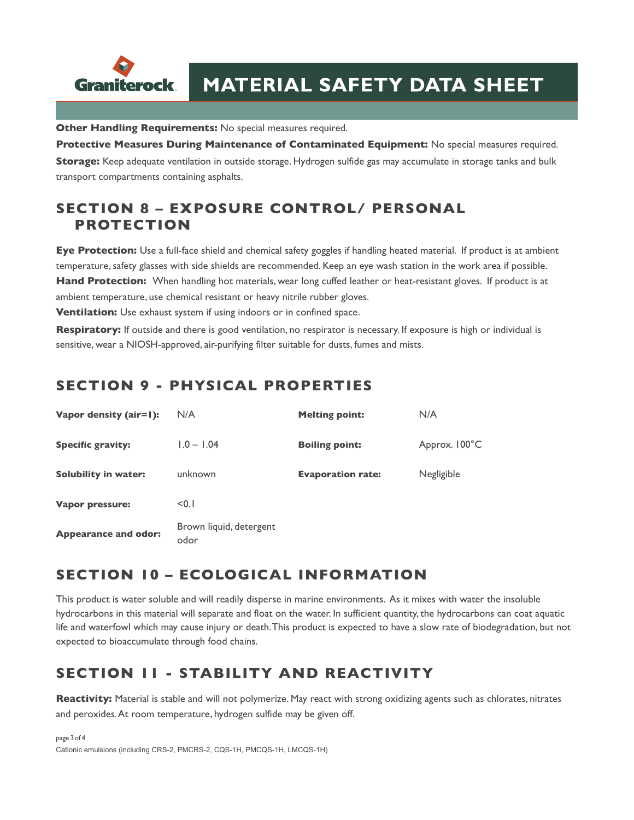

**Other Handling Requirements:** No special measures required.

**Protective Measures During Maintenance of Contaminated Equipment:** No special measures required. **Storage:** Keep adequate ventilation in outside storage. Hydrogen sulfide gas may accumulate in storage tanks and bulk transport compartments containing asphalts.

### **SECTION 8 – EXPOSURE CONTROL/ PERSONAL PROTECTION**

**Eye Protection:** Use a full-face shield and chemical safety goggles if handling heated material. If product is at ambient temperature, safety glasses with side shields are recommended. Keep an eye wash station in the work area if possible. **Hand Protection:** When handling hot materials, wear long cuffed leather or heat-resistant gloves. If product is at ambient temperature, use chemical resistant or heavy nitrile rubber gloves.

**Ventilation:** Use exhaust system if using indoors or in confined space.

**Respiratory:** If outside and there is good ventilation, no respirator is necessary. If exposure is high or individual is sensitive, wear a NIOSH-approved, air-purifying filter suitable for dusts, fumes and mists.

#### **SECTION 9 - PHYSICAL PROPERTIES**

| Vapor density (air=1):      | N/A                             | <b>Melting point:</b>    | N/A           |
|-----------------------------|---------------------------------|--------------------------|---------------|
| <b>Specific gravity:</b>    | $1.0 - 1.04$                    | <b>Boiling point:</b>    | Approx. 100°C |
| <b>Solubility in water:</b> | unknown                         | <b>Evaporation rate:</b> | Negligible    |
| Vapor pressure:             | < 0.1                           |                          |               |
| <b>Appearance and odor:</b> | Brown liquid, detergent<br>odor |                          |               |

#### **SECTION 10 – ECOLOGICAL INFORMATION**

This product is water soluble and will readily disperse in marine environments. As it mixes with water the insoluble hydrocarbons in this material will separate and float on the water. In sufficient quantity, the hydrocarbons can coat aquatic life and waterfowl which may cause injury or death. This product is expected to have a slow rate of biodegradation, but not expected to bioaccumulate through food chains.

## **SECTION 11 - STABILITY AND REACTIVITY**

**Reactivity:** Material is stable and will not polymerize. May react with strong oxidizing agents such as chlorates, nitrates and peroxides. At room temperature, hydrogen sulfide may be given off.

page 3of 4 Cationic emulsions (including CRS-2, PMCRS-2, CQS-1H, PMCQS-1H, LMCQS-1H)